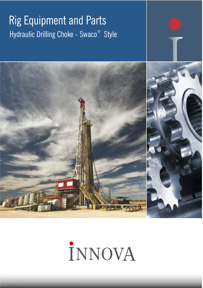# **Rig Equipment and Parts** Hydraulic Drilling Choke - Swaco<sup>®</sup> Style



# İNNOVA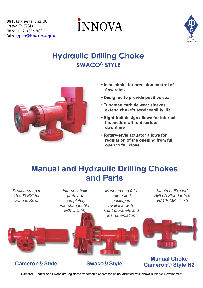# **INNOVA**



### **Hydraulic Drilling Choke SWACO<sup>®</sup> STYLE**



- **Ideal choke for precision control of flow rates**
- **Designed to provide positive seal**
- **Tungsten carbide wear sleeves extend choke's serviceability life**
- **Eight-bolt design allows for internal inspection without serious downtime**
- **Rotary-style actuator allows for regulation of the opening from full open to full close**

### **Manual and Hydraulic Drilling Chokes and Parts**



**Cameron® Style Swaco® Style** 

## **Cameron® Style H2**

Cameron, Shaffer and Swaco are registered trademarks of companies not affiliated with Innova Business Development